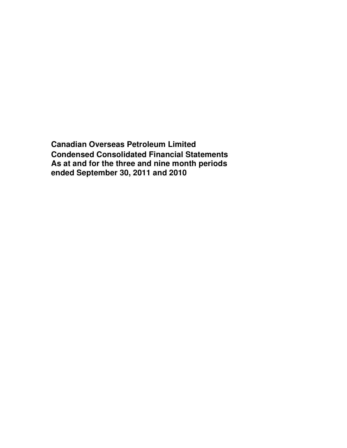**Canadian Overseas Petroleum Limited Condensed Consolidated Financial Statements As at and for the three and nine month periods ended September 30, 2011 and 2010**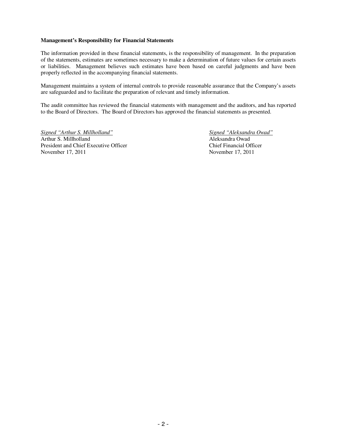### **Management's Responsibility for Financial Statements**

The information provided in these financial statements, is the responsibility of management. In the preparation of the statements, estimates are sometimes necessary to make a determination of future values for certain assets or liabilities. Management believes such estimates have been based on careful judgments and have been properly reflected in the accompanying financial statements.

Management maintains a system of internal controls to provide reasonable assurance that the Company's assets are safeguarded and to facilitate the preparation of relevant and timely information.

The audit committee has reviewed the financial statements with management and the auditors, and has reported to the Board of Directors. The Board of Directors has approved the financial statements as presented.

*Signed "Arthur S. Millholland" Signed "Aleksandra Owad"* Arthur S. Millholland Aleksandra Owad President and Chief Executive Officer Chief Financial Officer November 17, 2011 November 17, 2011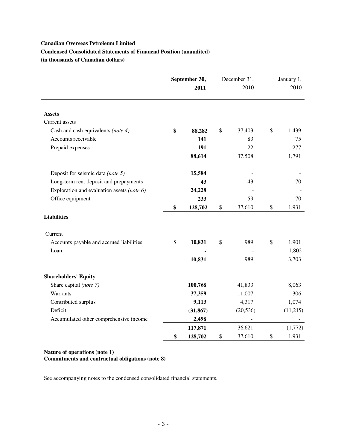# **Canadian Overseas Petroleum Limited Condensed Consolidated Statements of Financial Position (unaudited) (in thousands of Canadian dollars)**

|                                            | September 30,<br>2011 |           | December 31,<br>2010 | January 1,<br>2010 |
|--------------------------------------------|-----------------------|-----------|----------------------|--------------------|
| <b>Assets</b>                              |                       |           |                      |                    |
| Current assets                             |                       |           |                      |                    |
| Cash and cash equivalents (note 4)         | \$                    | 88,282    | \$<br>37,403         | \$<br>1,439        |
| Accounts receivable                        |                       | 141       | 83                   | 75                 |
| Prepaid expenses                           |                       | 191       | 22                   | 277                |
|                                            |                       | 88,614    | 37,508               | 1,791              |
| Deposit for seismic data (note 5)          |                       | 15,584    |                      |                    |
| Long-term rent deposit and prepayments     |                       | 43        | 43                   | 70                 |
| Exploration and evaluation assets (note 6) |                       | 24,228    |                      |                    |
| Office equipment                           |                       | 233       | 59                   | 70                 |
|                                            | \$                    | 128,702   | \$<br>37,610         | \$<br>1,931        |
| <b>Liabilities</b>                         |                       |           |                      |                    |
| Current                                    |                       |           |                      |                    |
| Accounts payable and accrued liabilities   | \$                    | 10,831    | \$<br>989            | \$<br>1,901        |
| Loan                                       |                       |           |                      | 1,802              |
|                                            |                       | 10,831    | 989                  | 3,703              |
| <b>Shareholders' Equity</b>                |                       |           |                      |                    |
| Share capital (note 7)                     |                       | 100,768   | 41,833               | 8,063              |
| Warrants                                   |                       | 37,359    | 11,007               | 306                |
| Contributed surplus                        |                       | 9,113     | 4,317                | 1,074              |
| Deficit                                    |                       | (31, 867) | (20, 536)            | (11,215)           |
| Accumulated other comprehensive income     |                       | 2,498     |                      |                    |
|                                            |                       | 117,871   | 36,621               | (1,772)            |
|                                            | \$                    | 128,702   | \$<br>37,610         | \$<br>1,931        |

**Nature of operations (note 1) Commitments and contractual obligations (note 8)**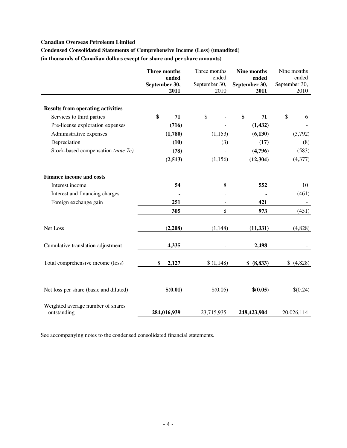# **Canadian Overseas Petroleum Limited**

**Condensed Consolidated Statements of Comprehensive Income (Loss) (unaudited) (in thousands of Canadian dollars except for share and per share amounts)** 

|                                                  | Three months<br>ended<br>September 30,<br>2011 | Three months<br>ended<br>September 30,<br>2010 | Nine months<br>ended<br>September 30,<br>2011 | Nine months<br>ended<br>September 30,<br>2010 |
|--------------------------------------------------|------------------------------------------------|------------------------------------------------|-----------------------------------------------|-----------------------------------------------|
| <b>Results from operating activities</b>         |                                                |                                                |                                               |                                               |
| Services to third parties                        | \$<br>71                                       | \$                                             | \$<br>71                                      | \$<br>6                                       |
| Pre-license exploration expenses                 | (716)                                          |                                                | (1, 432)                                      |                                               |
| Administrative expenses                          | (1,780)                                        | (1, 153)                                       | (6, 130)                                      | (3,792)                                       |
| Depreciation                                     | (10)                                           | (3)                                            | (17)                                          | (8)                                           |
| Stock-based compensation (note 7c)               | (78)                                           |                                                | (4,796)                                       | (583)                                         |
|                                                  | (2,513)                                        | (1, 156)                                       | (12, 304)                                     | (4,377)                                       |
| <b>Finance income and costs</b>                  |                                                |                                                |                                               |                                               |
| Interest income                                  | 54                                             | 8                                              | 552                                           | 10                                            |
| Interest and financing charges                   |                                                |                                                |                                               | (461)                                         |
| Foreign exchange gain                            | 251                                            |                                                | 421                                           |                                               |
|                                                  | 305                                            | 8                                              | 973                                           | (451)                                         |
| Net Loss                                         | (2,208)                                        | (1, 148)                                       | (11, 331)                                     | (4,828)                                       |
| Cumulative translation adjustment                | 4,335                                          |                                                | 2,498                                         |                                               |
| Total comprehensive income (loss)                | \$<br>2,127                                    | \$(1,148)                                      | \$ (8,833)                                    | \$(4,828)                                     |
| Net loss per share (basic and diluted)           | \$(0.01)                                       | \$(0.05)                                       | \$(0.05)                                      | \$(0.24)                                      |
| Weighted average number of shares<br>outstanding | 284,016,939                                    | 23,715,935                                     | 248,423,904                                   | 20,026,114                                    |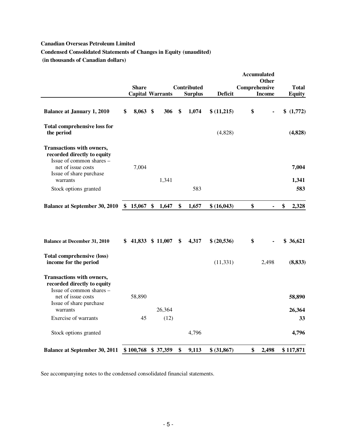# **Canadian Overseas Petroleum Limited**

**Condensed Consolidated Statements of Changes in Equity (unaudited)** 

 **(in thousands of Canadian dollars)** 

|                                                                                                                   |                  |                   |                         |                                      |                |               | <b>Accumulated</b><br><b>Other</b> |                        |
|-------------------------------------------------------------------------------------------------------------------|------------------|-------------------|-------------------------|--------------------------------------|----------------|---------------|------------------------------------|------------------------|
|                                                                                                                   | <b>Share</b>     |                   | <b>Capital Warrants</b> | <b>Contributed</b><br><b>Surplus</b> | <b>Deficit</b> | Comprehensive | <b>Income</b>                      | Total<br><b>Equity</b> |
| <b>Balance at January 1, 2010</b>                                                                                 | \$<br>$8,063$ \$ |                   | 306                     | \$<br>1,074                          | \$(11,215)     | \$            |                                    | \$(1,772)              |
| <b>Total comprehensive loss for</b><br>the period                                                                 |                  |                   |                         |                                      | (4,828)        |               |                                    | (4,828)                |
| Transactions with owners,<br>recorded directly to equity<br>Issue of common shares -<br>net of issue costs        | 7,004            |                   |                         |                                      |                |               |                                    | 7,004                  |
| Issue of share purchase<br>warrants                                                                               |                  |                   | 1,341                   |                                      |                |               |                                    | 1,341                  |
| Stock options granted                                                                                             |                  |                   |                         | 583                                  |                |               |                                    | 583                    |
| <b>Balance at September 30, 2010 \$ 15,067</b>                                                                    |                  | $\boldsymbol{\$}$ | 1,647                   | \$<br>1,657                          | \$ (16,043)    | \$            |                                    | \$<br>2,328            |
| <b>Balance at December 31, 2010</b>                                                                               |                  |                   | $$41,833$ $$11,007$     | \$<br>4,317                          | \$ (20,536)    | \$            |                                    | \$36,621               |
| <b>Total comprehensive (loss)</b><br>income for the period                                                        |                  |                   |                         |                                      | (11, 331)      |               | 2,498                              | (8, 833)               |
| <b>Transactions with owners,</b><br>recorded directly to equity<br>Issue of common shares -<br>net of issue costs |                  |                   |                         |                                      |                |               |                                    |                        |
| Issue of share purchase<br>warrants                                                                               | 58,890           |                   | 26,364                  |                                      |                |               |                                    | 58,890<br>26,364       |
| Exercise of warrants                                                                                              | 45               |                   | (12)                    |                                      |                |               |                                    | 33                     |
| Stock options granted                                                                                             |                  |                   |                         | 4,796                                |                |               |                                    | 4,796                  |
| <b>Balance at September 30, 2011</b>                                                                              |                  |                   | $$100,768$ $$37,359$    | \$<br>9,113                          | \$ (31,867)    | \$            | 2,498                              | \$117,871              |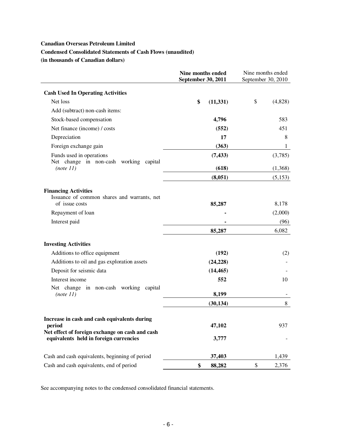# **Canadian Overseas Petroleum Limited**

# **Condensed Consolidated Statements of Cash Flows (unaudited)**

**(in thousands of Canadian dollars)** 

|                                                                                                                                                     | <b>Nine months ended</b><br>September 30, 2011 | Nine months ended<br>September 30, 2010 |  |  |
|-----------------------------------------------------------------------------------------------------------------------------------------------------|------------------------------------------------|-----------------------------------------|--|--|
| <b>Cash Used In Operating Activities</b>                                                                                                            |                                                |                                         |  |  |
| Net loss                                                                                                                                            | \$<br>(11, 331)                                | \$<br>(4,828)                           |  |  |
| Add (subtract) non-cash items:                                                                                                                      |                                                |                                         |  |  |
| Stock-based compensation                                                                                                                            | 4,796                                          | 583                                     |  |  |
| Net finance (income) / costs                                                                                                                        | (552)                                          | 451                                     |  |  |
| Depreciation                                                                                                                                        | 17                                             | 8                                       |  |  |
| Foreign exchange gain                                                                                                                               | (363)                                          | $\mathbf{1}$                            |  |  |
| Funds used in operations<br>Net change in non-cash<br>working capital                                                                               | (7, 433)                                       | (3,785)                                 |  |  |
| (note 11)                                                                                                                                           | (618)                                          | (1,368)                                 |  |  |
|                                                                                                                                                     | (8,051)                                        | (5,153)                                 |  |  |
| <b>Financing Activities</b><br>Issuance of common shares and warrants, net<br>of issue costs                                                        | 85,287                                         | 8,178                                   |  |  |
| Repayment of loan                                                                                                                                   |                                                | (2,000)                                 |  |  |
| Interest paid                                                                                                                                       |                                                | (96)                                    |  |  |
|                                                                                                                                                     | 85,287                                         | 6,082                                   |  |  |
| <b>Investing Activities</b>                                                                                                                         |                                                |                                         |  |  |
| Additions to office equipment                                                                                                                       | (192)                                          | (2)                                     |  |  |
| Additions to oil and gas exploration assets                                                                                                         | (24, 228)                                      |                                         |  |  |
| Deposit for seismic data                                                                                                                            | (14, 465)                                      |                                         |  |  |
| Interest income                                                                                                                                     | 552                                            | 10                                      |  |  |
| Net change in non-cash working capital<br>(note 11)                                                                                                 | 8,199                                          |                                         |  |  |
|                                                                                                                                                     | (30, 134)                                      | 8                                       |  |  |
| Increase in cash and cash equivalents during<br>period<br>Net effect of foreign exchange on cash and cash<br>equivalents held in foreign currencies | 47,102<br>3,777                                | 937                                     |  |  |
| Cash and cash equivalents, beginning of period                                                                                                      | 37,403                                         | 1,439                                   |  |  |
| Cash and cash equivalents, end of period                                                                                                            | \$<br>88,282                                   | \$<br>2,376                             |  |  |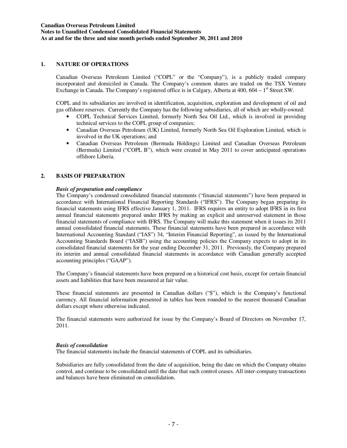## **1. NATURE OF OPERATIONS**

Canadian Overseas Petroleum Limited ("COPL" or the "Company"), is a publicly traded company incorporated and domiciled in Canada. The Company's common shares are traded on the TSX Venture Exchange in Canada. The Company's registered office is in Calgary, Alberta at  $400$ ,  $604 - 1$ <sup>st</sup> Street SW.

COPL and its subsidiaries are involved in identification, acquisition, exploration and development of oil and gas offshore reserves. Currently the Company has the following subsidiaries, all of which are wholly-owned:

- COPL Technical Services Limited, formerly North Sea Oil Ltd., which is involved in providing technical services to the COPL group of companies;
- Canadian Overseas Petroleum (UK) Limited, formerly North Sea Oil Exploration Limited, which is involved in the UK operations; and
- Canadian Overseas Petroleum (Bermuda Holdings) Limited and Canadian Overseas Petroleum (Bermuda) Limited ("COPL B"), which were created in May 2011 to cover anticipated operations offshore Liberia.

### **2. BASIS OF PREPARATION**

### *Basis of preparation and compliance*

The Company's condensed consolidated financial statements ("financial statements") have been prepared in accordance with International Financial Reporting Standards ("IFRS"). The Company began preparing its financial statements using IFRS effective January 1, 2011. IFRS requires an entity to adopt IFRS in its first annual financial statements prepared under IFRS by making an explicit and unreserved statement in those financial statements of compliance with IFRS. The Company will make this statement when it issues its 2011 annual consolidated financial statements. These financial statements have been prepared in accordance with International Accounting Standard ("IAS") 34, "Interim Financial Reporting", as issued by the International Accounting Standards Board ("IASB") using the accounting policies the Company expects to adopt in its consolidated financial statements for the year ending December 31, 2011. Previously, the Company prepared its interim and annual consolidated financial statements in accordance with Canadian generally accepted accounting principles ("GAAP").

The Company's financial statements have been prepared on a historical cost basis, except for certain financial assets and liabilities that have been measured at fair value.

These financial statements are presented in Canadian dollars ("\$"), which is the Company's functional currency. All financial information presented in tables has been rounded to the nearest thousand Canadian dollars except where otherwise indicated.

The financial statements were authorized for issue by the Company's Board of Directors on November 17, 2011.

### *Basis of consolidation*

The financial statements include the financial statements of COPL and its subsidiaries.

Subsidiaries are fully consolidated from the date of acquisition, being the date on which the Company obtains control, and continue to be consolidated until the date that such control ceases. All inter-company transactions and balances have been eliminated on consolidation.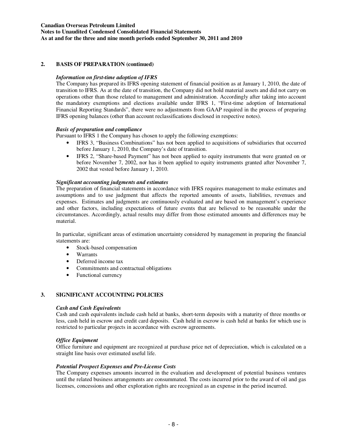# **Canadian Overseas Petroleum Limited Notes to Unaudited Condensed Consolidated Financial Statements As at and for the three and nine month periods ended September 30, 2011 and 2010**

# **2. BASIS OF PREPARATION (continued)**

# *Information on first-time adoption of IFRS*

The Company has prepared its IFRS opening statement of financial position as at January 1, 2010, the date of transition to IFRS. As at the date of transition, the Company did not hold material assets and did not carry on operations other than those related to management and administration. Accordingly after taking into account the mandatory exemptions and elections available under IFRS 1, "First-time adoption of International Financial Reporting Standards", there were no adjustments from GAAP required in the process of preparing IFRS opening balances (other than account reclassifications disclosed in respective notes).

### *Basis of preparation and compliance*

Pursuant to IFRS 1 the Company has chosen to apply the following exemptions:

- IFRS 3, "Business Combinations" has not been applied to acquisitions of subsidiaries that occurred before January 1, 2010, the Company's date of transition.
- IFRS 2, "Share-based Payment" has not been applied to equity instruments that were granted on or before November 7, 2002, nor has it been applied to equity instruments granted after November 7, 2002 that vested before January 1, 2010.

### *Significant accounting judgments and estimates*

The preparation of financial statements in accordance with IFRS requires management to make estimates and assumptions and to use judgment that affects the reported amounts of assets, liabilities, revenues and expenses. Estimates and judgments are continuously evaluated and are based on management's experience and other factors, including expectations of future events that are believed to be reasonable under the circumstances. Accordingly, actual results may differ from those estimated amounts and differences may be material.

In particular, significant areas of estimation uncertainty considered by management in preparing the financial statements are:

- Stock-based compensation
- Warrants
- Deferred income tax
- Commitments and contractual obligations
- Functional currency

## **3. SIGNIFICANT ACCOUNTING POLICIES**

### *Cash and Cash Equivalents*

Cash and cash equivalents include cash held at banks, short-term deposits with a maturity of three months or less, cash held in escrow and credit card deposits. Cash held in escrow is cash held at banks for which use is restricted to particular projects in accordance with escrow agreements.

### *Office Equipment*

Office furniture and equipment are recognized at purchase price net of depreciation, which is calculated on a straight line basis over estimated useful life.

### *Potential Prospect Expenses and Pre-License Costs*

The Company expenses amounts incurred in the evaluation and development of potential business ventures until the related business arrangements are consummated. The costs incurred prior to the award of oil and gas licenses, concessions and other exploration rights are recognized as an expense in the period incurred.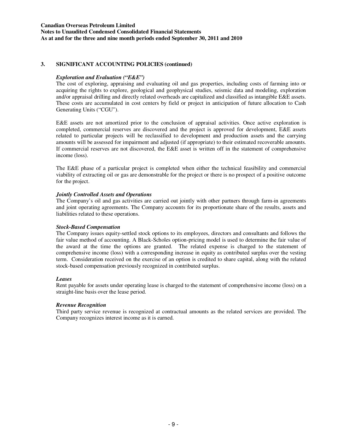## **Canadian Overseas Petroleum Limited Notes to Unaudited Condensed Consolidated Financial Statements As at and for the three and nine month periods ended September 30, 2011 and 2010**

## **3. SIGNIFICANT ACCOUNTING POLICIES (continued)**

# *Exploration and Evaluation ("E&E")*

The cost of exploring, appraising and evaluating oil and gas properties, including costs of farming into or acquiring the rights to explore, geological and geophysical studies, seismic data and modeling, exploration and/or appraisal drilling and directly related overheads are capitalized and classified as intangible E&E assets. These costs are accumulated in cost centers by field or project in anticipation of future allocation to Cash Generating Units ("CGU").

E&E assets are not amortized prior to the conclusion of appraisal activities. Once active exploration is completed, commercial reserves are discovered and the project is approved for development, E&E assets related to particular projects will be reclassified to development and production assets and the carrying amounts will be assessed for impairment and adjusted (if appropriate) to their estimated recoverable amounts. If commercial reserves are not discovered, the E&E asset is written off in the statement of comprehensive income (loss).

The E&E phase of a particular project is completed when either the technical feasibility and commercial viability of extracting oil or gas are demonstrable for the project or there is no prospect of a positive outcome for the project.

# *Jointly Controlled Assets and Operations*

The Company's oil and gas activities are carried out jointly with other partners through farm-in agreements and joint operating agreements. The Company accounts for its proportionate share of the results, assets and liabilities related to these operations.

## *Stock-Based Compensation*

The Company issues equity-settled stock options to its employees, directors and consultants and follows the fair value method of accounting. A Black-Scholes option-pricing model is used to determine the fair value of the award at the time the options are granted. The related expense is charged to the statement of comprehensive income (loss) with a corresponding increase in equity as contributed surplus over the vesting term. Consideration received on the exercise of an option is credited to share capital, along with the related stock-based compensation previously recognized in contributed surplus.

## *Leases*

Rent payable for assets under operating lease is charged to the statement of comprehensive income (loss) on a straight-line basis over the lease period.

## *Revenue Recognition*

Third party service revenue is recognized at contractual amounts as the related services are provided. The Company recognizes interest income as it is earned.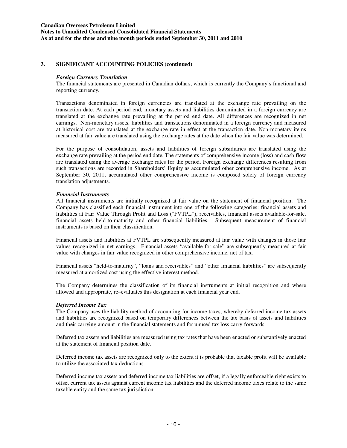## **3. SIGNIFICANT ACCOUNTING POLICIES (continued)**

### *Foreign Currency Translation*

The financial statements are presented in Canadian dollars, which is currently the Company's functional and reporting currency.

Transactions denominated in foreign currencies are translated at the exchange rate prevailing on the transaction date. At each period end, monetary assets and liabilities denominated in a foreign currency are translated at the exchange rate prevailing at the period end date. All differences are recognized in net earnings. Non-monetary assets, liabilities and transactions denominated in a foreign currency and measured at historical cost are translated at the exchange rate in effect at the transaction date. Non-monetary items measured at fair value are translated using the exchange rates at the date when the fair value was determined.

For the purpose of consolidation, assets and liabilities of foreign subsidiaries are translated using the exchange rate prevailing at the period end date. The statements of comprehensive income (loss) and cash flow are translated using the average exchange rates for the period. Foreign exchange differences resulting from such transactions are recorded in Shareholders' Equity as accumulated other comprehensive income. As at September 30, 2011, accumulated other comprehensive income is composed solely of foreign currency translation adjustments.

### *Financial Instruments*

All financial instruments are initially recognized at fair value on the statement of financial position. The Company has classified each financial instrument into one of the following categories: financial assets and liabilities at Fair Value Through Profit and Loss ("FVTPL"), receivables, financial assets available-for-sale, financial assets held-to-maturity and other financial liabilities. Subsequent measurement of financial instruments is based on their classification.

Financial assets and liabilities at FVTPL are subsequently measured at fair value with changes in those fair values recognized in net earnings. Financial assets "available-for-sale" are subsequently measured at fair value with changes in fair value recognized in other comprehensive income, net of tax.

Financial assets "held-to-maturity", "loans and receivables" and "other financial liabilities" are subsequently measured at amortized cost using the effective interest method.

The Company determines the classification of its financial instruments at initial recognition and where allowed and appropriate, re–evaluates this designation at each financial year end.

## *Deferred Income Tax*

The Company uses the liability method of accounting for income taxes, whereby deferred income tax assets and liabilities are recognized based on temporary differences between the tax basis of assets and liabilities and their carrying amount in the financial statements and for unused tax loss carry-forwards.

Deferred tax assets and liabilities are measured using tax rates that have been enacted or substantively enacted at the statement of financial position date.

Deferred income tax assets are recognized only to the extent it is probable that taxable profit will be available to utilize the associated tax deductions.

Deferred income tax assets and deferred income tax liabilities are offset, if a legally enforceable right exists to offset current tax assets against current income tax liabilities and the deferred income taxes relate to the same taxable entity and the same tax jurisdiction.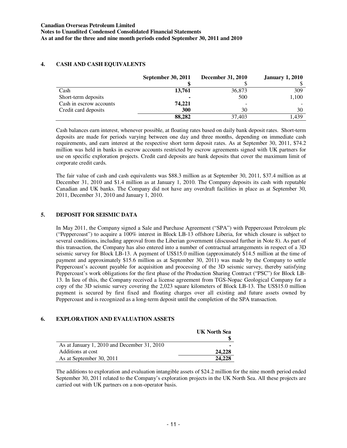|                         | <b>September 30, 2011</b> | <b>December 31, 2010</b> | <b>January 1, 2010</b> |
|-------------------------|---------------------------|--------------------------|------------------------|
|                         |                           |                          |                        |
| Cash                    | 13,761                    | 36,873                   | 309                    |
| Short-term deposits     |                           | 500                      | 1,100                  |
| Cash in escrow accounts | 74,221                    | $\overline{\phantom{0}}$ |                        |
| Credit card deposits    | 300                       | 30                       | 30                     |
|                         | 88,282                    | 37.403                   | L <sub>439</sub>       |

# **4. CASH AND CASH EQUIVALENTS**

Cash balances earn interest, whenever possible, at floating rates based on daily bank deposit rates. Short-term deposits are made for periods varying between one day and three months, depending on immediate cash requirements, and earn interest at the respective short term deposit rates. As at September 30, 2011, \$74.2 million was held in banks in escrow accounts restricted by escrow agreements signed with UK partners for use on specific exploration projects. Credit card deposits are bank deposits that cover the maximum limit of corporate credit cards.

The fair value of cash and cash equivalents was \$88.3 million as at September 30, 2011, \$37.4 million as at December 31, 2010 and \$1.4 million as at January 1, 2010. The Company deposits its cash with reputable Canadian and UK banks. The Company did not have any overdraft facilities in place as at September 30, 2011, December 31, 2010 and January 1, 2010.

# **5. DEPOSIT FOR SEISMIC DATA**

In May 2011, the Company signed a Sale and Purchase Agreement ("SPA") with Peppercoast Petroleum plc ("Peppercoast") to acquire a 100% interest in Block LB-13 offshore Liberia, for which closure is subject to several conditions, including approval from the Liberian government (discussed further in Note 8). As part of this transaction, the Company has also entered into a number of contractual arrangements in respect of a 3D seismic survey for Block LB-13. A payment of US\$15.0 million (approximately \$14.5 million at the time of payment and approximately \$15.6 million as at September 30, 2011) was made by the Company to settle Peppercoast's account payable for acquisition and processing of the 3D seismic survey, thereby satisfying Peppercoast's work obligations for the first phase of the Production Sharing Contract ("PSC") for Block LB-13. In lieu of this, the Company received a license agreement from TGS-Nopac Geological Company for a copy of the 3D seismic survey covering the 2,023 square kilometers of Block LB-13. The US\$15.0 million payment is secured by first fixed and floating charges over all existing and future assets owned by Peppercoast and is recognized as a long-term deposit until the completion of the SPA transaction.

## **6. EXPLORATION AND EVALUATION ASSETS**

|                                             | <b>UK North Sea</b> |
|---------------------------------------------|---------------------|
|                                             |                     |
| As at January 1, 2010 and December 31, 2010 |                     |
| Additions at cost                           | 24,228              |
| As at September 30, 2011                    | 24.228              |

The additions to exploration and evaluation intangible assets of \$24.2 million for the nine month period ended September 30, 2011 related to the Company's exploration projects in the UK North Sea. All these projects are carried out with UK partners on a non-operator basis.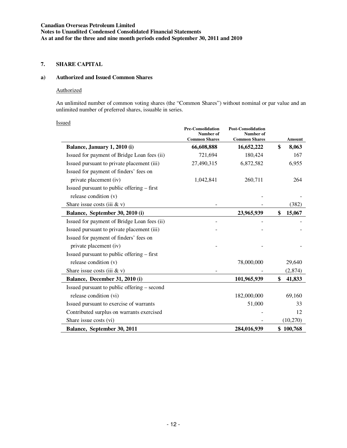## **7. SHARE CAPITAL**

### **a) Authorized and Issued Common Shares**

# Authorized

An unlimited number of common voting shares (the "Common Shares") without nominal or par value and an unlimited number of preferred shares, issuable in series.

|--|

|                                             | <b>Pre-Consolidation</b><br>Number of<br><b>Common Shares</b> | <b>Post-Consolidation</b><br>Number of<br><b>Common Shares</b> | Amount       |
|---------------------------------------------|---------------------------------------------------------------|----------------------------------------------------------------|--------------|
| Balance, January 1, 2010 (i)                | 66,608,888                                                    | 16,652,222                                                     | \$<br>8,063  |
| Issued for payment of Bridge Loan fees (ii) | 721,694                                                       | 180,424                                                        | 167          |
| Issued pursuant to private placement (iii)  | 27,490,315                                                    | 6,872,582                                                      | 6,955        |
| Issued for payment of finders' fees on      |                                                               |                                                                |              |
| private placement (iv)                      | 1,042,841                                                     | 260,711                                                        | 264          |
| Issued pursuant to public offering – first  |                                                               |                                                                |              |
| release condition (v)                       |                                                               |                                                                |              |
| Share issue costs (iii $&$ v)               |                                                               |                                                                | (382)        |
| Balance, September 30, 2010 (i)             |                                                               | 23,965,939                                                     | \$<br>15,067 |
| Issued for payment of Bridge Loan fees (ii) |                                                               |                                                                |              |
| Issued pursuant to private placement (iii)  |                                                               |                                                                |              |
| Issued for payment of finders' fees on      |                                                               |                                                                |              |
| private placement (iv)                      |                                                               |                                                                |              |
| Issued pursuant to public offering – first  |                                                               |                                                                |              |
| release condition (v)                       |                                                               | 78,000,000                                                     | 29,640       |
| Share issue costs (iii $&$ v)               |                                                               |                                                                | (2,874)      |
| Balance, December 31, 2010 (i)              |                                                               | 101,965,939                                                    | \$<br>41,833 |
| Issued pursuant to public offering – second |                                                               |                                                                |              |
| release condition (vi)                      |                                                               | 182,000,000                                                    | 69,160       |
| Issued pursuant to exercise of warrants     |                                                               | 51,000                                                         | 33           |
| Contributed surplus on warrants exercised   |                                                               |                                                                | 12           |
| Share issue costs (vi)                      |                                                               |                                                                | (10,270)     |
| Balance, September 30, 2011                 |                                                               | 284,016,939                                                    | \$100,768    |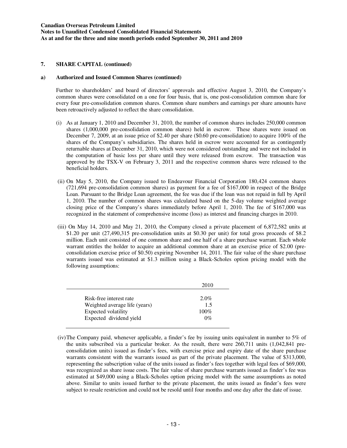### **a) Authorized and Issued Common Shares (continued)**

Further to shareholders' and board of directors' approvals and effective August 3, 2010, the Company's common shares were consolidated on a one for four basis, that is, one post-consolidation common share for every four pre-consolidation common shares. Common share numbers and earnings per share amounts have been retroactively adjusted to reflect the share consolidation.

- (i) As at January 1, 2010 and December 31, 2010, the number of common shares includes 250,000 common shares (1,000,000 pre-consolidation common shares) held in escrow. These shares were issued on December 7, 2009, at an issue price of \$2.40 per share (\$0.60 pre-consolidation) to acquire 100% of the shares of the Company's subsidiaries. The shares held in escrow were accounted for as contingently returnable shares at December 31, 2010, which were not considered outstanding and were not included in the computation of basic loss per share until they were released from escrow. The transaction was approved by the TSX-V on February 3, 2011 and the respective common shares were released to the beneficial holders.
- (ii) On May 5, 2010, the Company issued to Endeavour Financial Corporation 180,424 common shares (721,694 pre-consolidation common shares) as payment for a fee of \$167,000 in respect of the Bridge Loan. Pursuant to the Bridge Loan agreement, the fee was due if the loan was not repaid in full by April 1, 2010. The number of common shares was calculated based on the 5-day volume weighted average closing price of the Company's shares immediately before April 1, 2010. The fee of \$167,000 was recognized in the statement of comprehensive income (loss) as interest and financing charges in 2010.
- (iii) On May 14, 2010 and May 21, 2010, the Company closed a private placement of 6,872,582 units at \$1.20 per unit (27,490,315 pre-consolidation units at \$0.30 per unit) for total gross proceeds of \$8.2 million. Each unit consisted of one common share and one half of a share purchase warrant. Each whole warrant entitles the holder to acquire an additional common share at an exercise price of \$2.00 (preconsolidation exercise price of \$0.50) expiring November 14, 2011. The fair value of the share purchase warrants issued was estimated at \$1.3 million using a Black-Scholes option pricing model with the following assumptions:

| Risk-free interest rate<br>$2.0\%$<br>Weighted average life (years)<br>1.5<br>Expected volatility<br>$100\%$ |  |
|--------------------------------------------------------------------------------------------------------------|--|
| Expected dividend yield<br>$0\%$                                                                             |  |

 <sup>(</sup>iv) The Company paid, whenever applicable, a finder's fee by issuing units equivalent in number to 5% of the units subscribed via a particular broker. As the result, there were 260,711 units (1,042,841 preconsolidation units) issued as finder's fees, with exercise price and expiry date of the share purchase warrants consistent with the warrants issued as part of the private placement. The value of \$313,000, representing the subscription value of the units issued as finder's fees together with legal fees of \$69,000, was recognized as share issue costs. The fair value of share purchase warrants issued as finder's fee was estimated at \$49,000 using a Black-Scholes option pricing model with the same assumptions as noted above. Similar to units issued further to the private placement, the units issued as finder's fees were subject to resale restriction and could not be resold until four months and one day after the date of issue.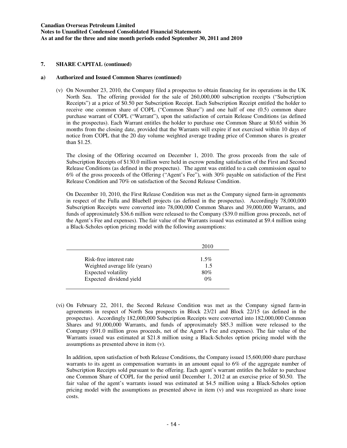#### **a) Authorized and Issued Common Shares (continued)**

(v) On November 23, 2010, the Company filed a prospectus to obtain financing for its operations in the UK North Sea. The offering provided for the sale of 260,000,000 subscription receipts ("Subscription Receipts") at a price of \$0.50 per Subscription Receipt. Each Subscription Receipt entitled the holder to receive one common share of COPL ("Common Share") and one half of one (0.5) common share purchase warrant of COPL ("Warrant"), upon the satisfaction of certain Release Conditions (as defined in the prospectus). Each Warrant entitles the holder to purchase one Common Share at \$0.65 within 36 months from the closing date, provided that the Warrants will expire if not exercised within 10 days of notice from COPL that the 20 day volume weighted average trading price of Common shares is greater than \$1.25.

The closing of the Offering occurred on December 1, 2010. The gross proceeds from the sale of Subscription Receipts of \$130.0 million were held in escrow pending satisfaction of the First and Second Release Conditions (as defined in the prospectus). The agent was entitled to a cash commission equal to 6% of the gross proceeds of the Offering ("Agent's Fee"), with 30% payable on satisfaction of the First Release Condition and 70% on satisfaction of the Second Release Condition.

On December 10, 2010, the First Release Condition was met as the Company signed farm-in agreements in respect of the Fulla and Bluebell projects (as defined in the prospectus). Accordingly 78,000,000 Subscription Receipts were converted into 78,000,000 Common Shares and 39,000,000 Warrants, and funds of approximately \$36.6 million were released to the Company (\$39.0 million gross proceeds, net of the Agent's Fee and expenses). The fair value of the Warrants issued was estimated at \$9.4 million using a Black-Scholes option pricing model with the following assumptions:

| 2010    |
|---------|
| $1.5\%$ |
| 1.5     |
| 80%     |
| $0\%$   |
|         |

(vi) On February 22, 2011, the Second Release Condition was met as the Company signed farm-in agreements in respect of North Sea prospects in Block 23/21 and Block 22/15 (as defined in the prospectus). Accordingly 182,000,000 Subscription Receipts were converted into 182,000,000 Common Shares and 91,000,000 Warrants, and funds of approximately \$85.3 million were released to the Company (\$91.0 million gross proceeds, net of the Agent's Fee and expenses). The fair value of the Warrants issued was estimated at \$21.8 million using a Black-Scholes option pricing model with the assumptions as presented above in item (v).

In addition, upon satisfaction of both Release Conditions, the Company issued 15,600,000 share purchase warrants to its agent as compensation warrants in an amount equal to 6% of the aggregate number of Subscription Receipts sold pursuant to the offering. Each agent's warrant entitles the holder to purchase one Common Share of COPL for the period until December 1, 2012 at an exercise price of \$0.50. The fair value of the agent's warrants issued was estimated at \$4.5 million using a Black-Scholes option pricing model with the assumptions as presented above in item (v) and was recognized as share issue costs.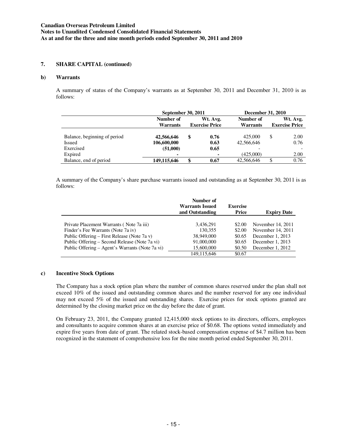### **b) Warrants**

A summary of status of the Company's warrants as at September 30, 2011 and December 31, 2010 is as follows:

|                              | September 30, 2011 |   |                       | December 31, 2010 |    |                       |  |
|------------------------------|--------------------|---|-----------------------|-------------------|----|-----------------------|--|
|                              | Number of          |   | Wt. Avg.              | Number of         |    | Wt. Avg.              |  |
|                              | <b>Warrants</b>    |   | <b>Exercise Price</b> | <b>Warrants</b>   |    | <b>Exercise Price</b> |  |
| Balance, beginning of period | 42,566,646         | S | 0.76                  | 425,000           | \$ | 2.00                  |  |
| <b>Issued</b>                | 106,600,000        |   | 0.63                  | 42,566,646        |    | 0.76                  |  |
| Exercised                    | (51,000)           |   | 0.65                  |                   |    |                       |  |
| Expired                      | $\blacksquare$     |   |                       | (425,000)         |    | 2.00                  |  |
| Balance, end of period       | 149.115.646        |   | 0.67                  | 42,566,646        | \$ | 0.76                  |  |

A summary of the Company's share purchase warrants issued and outstanding as at September 30, 2011 is as follows:

|                                                 | Number of<br><b>Warrants Issued</b><br>and Outstanding | <b>Exercise</b><br>Price | <b>Expiry Date</b> |
|-------------------------------------------------|--------------------------------------------------------|--------------------------|--------------------|
|                                                 |                                                        |                          |                    |
| Private Placement Warrants (Note 7a iii)        | 3,436,291                                              | \$2.00                   | November 14, 2011  |
| Finder's Fee Warrants (Note 7a iv)              | 130.355                                                | \$2.00                   | November 14, 2011  |
| Public Offering – First Release (Note 7a v)     | 38,949,000                                             | \$0.65                   | December 1, 2013   |
| Public Offering – Second Release (Note 7a vi)   | 91,000,000                                             | \$0.65                   | December 1, 2013   |
| Public Offering – Agent's Warrants (Note 7a vi) | 15,600,000                                             | \$0.50                   | December 1, 2012   |
|                                                 | 149.115.646                                            | \$0.67                   |                    |

## **c) Incentive Stock Options**

The Company has a stock option plan where the number of common shares reserved under the plan shall not exceed 10% of the issued and outstanding common shares and the number reserved for any one individual may not exceed 5% of the issued and outstanding shares. Exercise prices for stock options granted are determined by the closing market price on the day before the date of grant.

On February 23, 2011, the Company granted 12,415,000 stock options to its directors, officers, employees and consultants to acquire common shares at an exercise price of \$0.68. The options vested immediately and expire five years from date of grant. The related stock-based compensation expense of \$4.7 million has been recognized in the statement of comprehensive loss for the nine month period ended September 30, 2011.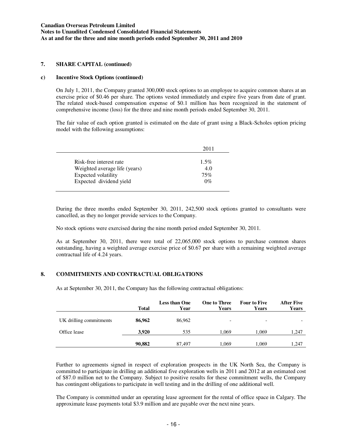### **c) Incentive Stock Options (continued)**

On July 1, 2011, the Company granted 300,000 stock options to an employee to acquire common shares at an exercise price of \$0.46 per share. The options vested immediately and expire five years from date of grant. The related stock-based compensation expense of \$0.1 million has been recognized in the statement of comprehensive income (loss) for the three and nine month periods ended September 30, 2011.

The fair value of each option granted is estimated on the date of grant using a Black-Scholes option pricing model with the following assumptions:

|                               | 2011    |
|-------------------------------|---------|
| Risk-free interest rate       | $1.5\%$ |
| Weighted average life (years) | 4.0     |
| Expected volatility           | 75%     |
| Expected dividend yield       | $0\%$   |

During the three months ended September 30, 2011, 242,500 stock options granted to consultants were cancelled, as they no longer provide services to the Company.

No stock options were exercised during the nine month period ended September 30, 2011.

As at September 30, 2011, there were total of 22,065,000 stock options to purchase common shares outstanding, having a weighted average exercise price of \$0.67 per share with a remaining weighted average contractual life of 4.24 years.

## **8. COMMITMENTS AND CONTRACTUAL OBLIGATIONS**

As at September 30, 2011, the Company has the following contractual obligations:

|                         | <b>Total</b> | <b>Less than One</b><br>Year | <b>One to Three</b><br><b>Years</b> | <b>Four to Five</b><br>Years | <b>After Five</b><br>Years |
|-------------------------|--------------|------------------------------|-------------------------------------|------------------------------|----------------------------|
| UK drilling commitments | 86,962       | 86,962                       | -                                   | $\overline{\phantom{a}}$     | $\overline{\phantom{0}}$   |
| Office lease            | 3.920        | 535                          | 1.069                               | 1,069                        | 1,247                      |
|                         | 90,882       | 87,497                       | 1.069                               | 1,069                        | 1,247                      |

Further to agreements signed in respect of exploration prospects in the UK North Sea, the Company is committed to participate in drilling an additional five exploration wells in 2011 and 2012 at an estimated cost of \$87.0 million net to the Company. Subject to positive results for these commitment wells, the Company has contingent obligations to participate in well testing and in the drilling of one additional well.

The Company is committed under an operating lease agreement for the rental of office space in Calgary. The approximate lease payments total \$3.9 million and are payable over the next nine years.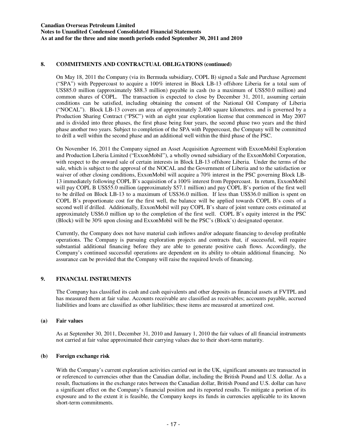## **8. COMMITMENTS AND CONTRACTUAL OBLIGATIONS (continued)**

On May 18, 2011 the Company (via its Bermuda subsidiary, COPL B) signed a Sale and Purchase Agreement ("SPA") with Peppercoast to acquire a 100% interest in Block LB-13 offshore Liberia for a total sum of US\$85.0 million (approximately \$88.3 million) payable in cash (to a maximum of US\$50.0 million) and common shares of COPL. The transaction is expected to close by December 31, 2011, assuming certain conditions can be satisfied, including obtaining the consent of the National Oil Company of Liberia ("NOCAL"). Block LB-13 covers an area of approximately 2,400 square kilometres. and is governed by a Production Sharing Contract ("PSC") with an eight year exploration license that commenced in May 2007 and is divided into three phases, the first phase being four years, the second phase two years and the third phase another two years. Subject to completion of the SPA with Peppercoast, the Company will be committed to drill a well within the second phase and an additional well within the third phase of the PSC.

On November 16, 2011 the Company signed an Asset Acquisition Agreement with ExxonMobil Exploration and Production Liberia Limited ("ExxonMobil"), a wholly owned subsidiary of the ExxonMobil Corporation, with respect to the onward sale of certain interests in Block LB-13 offshore Liberia. Under the terms of the sale, which is subject to the approval of the NOCAL and the Government of Liberia and to the satisfaction or waiver of other closing conditions, ExxonMobil will acquire a 70% interest in the PSC governing Block LB-13 immediately following COPL B's acquisition of a 100% interest from Peppercoast. In return, ExxonMobil will pay COPL B US\$55.0 million (approximately \$57.1 million) and pay COPL B's portion of the first well to be drilled on Block LB-13 to a maximum of US\$36.0 million. If less than US\$36.0 million is spent on COPL B's proportionate cost for the first well, the balance will be applied towards COPL B's costs of a second well if drilled. Additionally, ExxonMobil will pay COPL B's share of joint venture costs estimated at approximately US\$6.0 million up to the completion of the first well. COPL B's equity interest in the PSC (Block) will be 30% upon closing and ExxonMobil will be the PSC's (Block's) designated operator.

Currently, the Company does not have material cash inflows and/or adequate financing to develop profitable operations. The Company is pursuing exploration projects and contracts that, if successful, will require substantial additional financing before they are able to generate positive cash flows. Accordingly, the Company's continued successful operations are dependent on its ability to obtain additional financing. No assurance can be provided that the Company will raise the required levels of financing.

# **9. FINANCIAL INSTRUMENTS**

The Company has classified its cash and cash equivalents and other deposits as financial assets at FVTPL and has measured them at fair value. Accounts receivable are classified as receivables; accounts payable, accrued liabilities and loans are classified as other liabilities; these items are measured at amortized cost.

## **(a) Fair values**

As at September 30, 2011, December 31, 2010 and January 1, 2010 the fair values of all financial instruments not carried at fair value approximated their carrying values due to their short-term maturity.

## **(b) Foreign exchange risk**

With the Company's current exploration activities carried out in the UK, significant amounts are transacted in or referenced to currencies other than the Canadian dollar, including the British Pound and U.S. dollar. As a result, fluctuations in the exchange rates between the Canadian dollar, British Pound and U.S. dollar can have a significant effect on the Company's financial position and its reported results. To mitigate a portion of its exposure and to the extent it is feasible, the Company keeps its funds in currencies applicable to its known short-term commitments.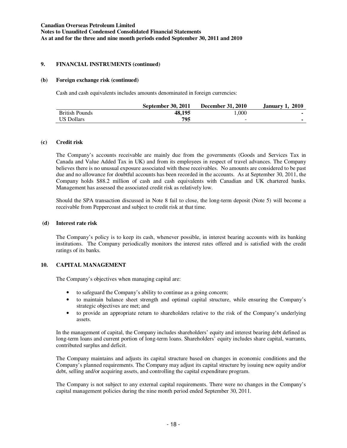### **9. FINANCIAL INSTRUMENTS (continued)**

### **(b) Foreign exchange risk (continued)**

Cash and cash equivalents includes amounts denominated in foreign currencies:

|                       | <b>September 30, 2011</b> | <b>December 31, 2010</b> | <b>January 1, 2010</b> |
|-----------------------|---------------------------|--------------------------|------------------------|
| <b>British Pounds</b> | 48.195                    | l.000                    |                        |
| US Dollars            | 795                       | -                        |                        |

### **(c) Credit risk**

The Company's accounts receivable are mainly due from the governments (Goods and Services Tax in Canada and Value Added Tax in UK) and from its employees in respect of travel advances. The Company believes there is no unusual exposure associated with these receivables. No amounts are considered to be past due and no allowance for doubtful accounts has been recorded in the accounts. As at September 30, 2011, the Company holds \$88.2 million of cash and cash equivalents with Canadian and UK chartered banks. Management has assessed the associated credit risk as relatively low.

Should the SPA transaction discussed in Note 8 fail to close, the long-term deposit (Note 5) will become a receivable from Peppercoast and subject to credit risk at that time.

### **(d) Interest rate risk**

The Company's policy is to keep its cash, whenever possible, in interest bearing accounts with its banking institutions. The Company periodically monitors the interest rates offered and is satisfied with the credit ratings of its banks.

## **10. CAPITAL MANAGEMENT**

The Company's objectives when managing capital are:

- to safeguard the Company's ability to continue as a going concern;
- to maintain balance sheet strength and optimal capital structure, while ensuring the Company's strategic objectives are met; and
- to provide an appropriate return to shareholders relative to the risk of the Company's underlying assets.

In the management of capital, the Company includes shareholders' equity and interest bearing debt defined as long-term loans and current portion of long-term loans. Shareholders' equity includes share capital, warrants, contributed surplus and deficit.

The Company maintains and adjusts its capital structure based on changes in economic conditions and the Company's planned requirements. The Company may adjust its capital structure by issuing new equity and/or debt, selling and/or acquiring assets, and controlling the capital expenditure program.

The Company is not subject to any external capital requirements. There were no changes in the Company's capital management policies during the nine month period ended September 30, 2011.